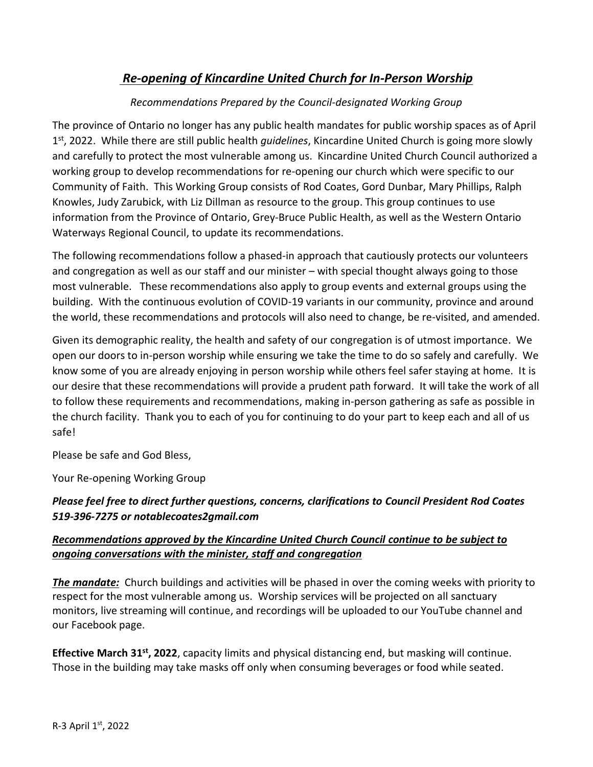# *Re-opening of Kincardine United Church for In-Person Worship*

## *Recommendations Prepared by the Council-designated Working Group*

The province of Ontario no longer has any public health mandates for public worship spaces as of April 1 st, 2022. While there are still public health *guidelines*, Kincardine United Church is going more slowly and carefully to protect the most vulnerable among us. Kincardine United Church Council authorized a working group to develop recommendations for re-opening our church which were specific to our Community of Faith. This Working Group consists of Rod Coates, Gord Dunbar, Mary Phillips, Ralph Knowles, Judy Zarubick, with Liz Dillman as resource to the group. This group continues to use information from the Province of Ontario, Grey-Bruce Public Health, as well as the Western Ontario Waterways Regional Council, to update its recommendations.

The following recommendations follow a phased-in approach that cautiously protects our volunteers and congregation as well as our staff and our minister – with special thought always going to those most vulnerable. These recommendations also apply to group events and external groups using the building. With the continuous evolution of COVID-19 variants in our community, province and around the world, these recommendations and protocols will also need to change, be re-visited, and amended.

Given its demographic reality, the health and safety of our congregation is of utmost importance. We open our doors to in-person worship while ensuring we take the time to do so safely and carefully. We know some of you are already enjoying in person worship while others feel safer staying at home. It is our desire that these recommendations will provide a prudent path forward. It will take the work of all to follow these requirements and recommendations, making in-person gathering as safe as possible in the church facility. Thank you to each of you for continuing to do your part to keep each and all of us safe!

Please be safe and God Bless,

Your Re-opening Working Group

## *Please feel free to direct further questions, concerns, clarifications to Council President Rod Coates 519-396-7275 or notablecoates2gmail.com*

## *Recommendations approved by the Kincardine United Church Council continue to be subject to ongoing conversations with the minister, staff and congregation*

*The mandate:* Church buildings and activities will be phased in over the coming weeks with priority to respect for the most vulnerable among us. Worship services will be projected on all sanctuary monitors, live streaming will continue, and recordings will be uploaded to our YouTube channel and our Facebook page.

**Effective March 31st , 2022**, capacity limits and physical distancing end, but masking will continue. Those in the building may take masks off only when consuming beverages or food while seated.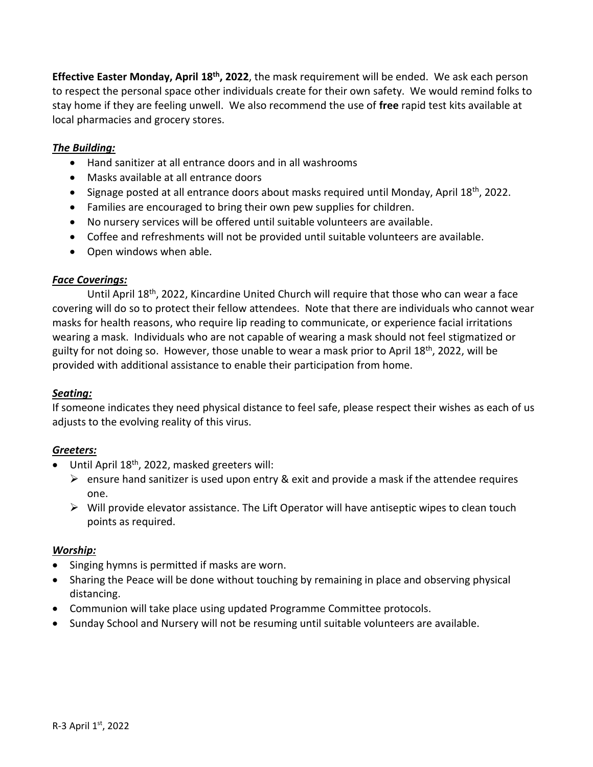**Effective Easter Monday, April 18th, 2022**, the mask requirement will be ended. We ask each person to respect the personal space other individuals create for their own safety. We would remind folks to stay home if they are feeling unwell. We also recommend the use of **free** rapid test kits available at local pharmacies and grocery stores.

## *The Building:*

- Hand sanitizer at all entrance doors and in all washrooms
- Masks available at all entrance doors
- $\bullet$  Signage posted at all entrance doors about masks required until Monday, April 18<sup>th</sup>, 2022.
- Families are encouraged to bring their own pew supplies for children.
- No nursery services will be offered until suitable volunteers are available.
- Coffee and refreshments will not be provided until suitable volunteers are available.
- Open windows when able.

### *Face Coverings:*

Until April 18th, 2022, Kincardine United Church will require that those who can wear a face covering will do so to protect their fellow attendees. Note that there are individuals who cannot wear masks for health reasons, who require lip reading to communicate, or experience facial irritations wearing a mask. Individuals who are not capable of wearing a mask should not feel stigmatized or guilty for not doing so. However, those unable to wear a mask prior to April 18<sup>th</sup>, 2022, will be provided with additional assistance to enable their participation from home.

### *Seating:*

If someone indicates they need physical distance to feel safe, please respect their wishes as each of us adjusts to the evolving reality of this virus.

### *Greeters:*

- $\bullet$  Until April 18<sup>th</sup>, 2022, masked greeters will:
	- $\triangleright$  ensure hand sanitizer is used upon entry & exit and provide a mask if the attendee requires one.
	- $\triangleright$  Will provide elevator assistance. The Lift Operator will have antiseptic wipes to clean touch points as required.

#### *Worship:*

- Singing hymns is permitted if masks are worn.
- Sharing the Peace will be done without touching by remaining in place and observing physical distancing.
- Communion will take place using updated Programme Committee protocols.
- Sunday School and Nursery will not be resuming until suitable volunteers are available.